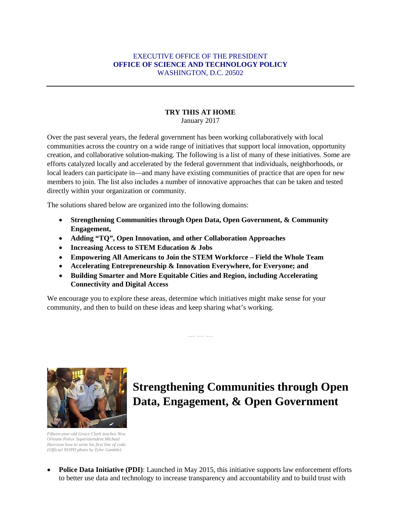#### EXECUTIVE OFFICE OF THE PRESIDENT **OFFICE OF SCIENCE AND TECHNOLOGY POLICY** WASHINGTON, D.C. 20502

#### **TRY THIS AT HOME**

January 2017

Over the past several years, the federal government has been working collaboratively with local communities across the country on a wide range of initiatives that support local innovation, opportunity creation, and collaborative solution-making. The following is a list of many of these initiatives. Some are efforts catalyzed locally and accelerated by the federal government that individuals, neighborhoods, or local leaders can participate in—and many have existing communities of practice that are open for new members to join. The list also includes a number of innovative approaches that can be taken and tested directly within your organization or community.

The solutions shared below are organized into the following domains:

- **Strengthening Communities through Open Data, Open Government, & Community Engagement,**
- **Adding "TQ", Open Innovation, and other Collaboration Approaches**
- **Increasing Access to STEM Education & Jobs**
- **Empowering All Americans to Join the STEM Workforce – Field the Whole Team**
- **Accelerating Entrepreneurship & Innovation Everywhere, for Everyone; and**
- **Building Smarter and More Equitable Cities and Region, including Accelerating Connectivity and Digital Access**

We encourage you to explore these areas, determine which initiatives might make sense for your community, and then to build on these ideas and keep sharing what's working.

--- --- ---



**Strengthening Communities through Open Data, Engagement, & Open Government** 

*Fifteen-year-old Grace Clark teaches New Orleans Police Superintendent Michael Harrison how to write his first line of code. (Official NOPD photo by Tyler Gamble)*

• **Police Data Initiative (PDI)**: Launched in May 2015, this initiative supports law enforcement efforts to better use data and technology to increase transparency and accountability and to build trust with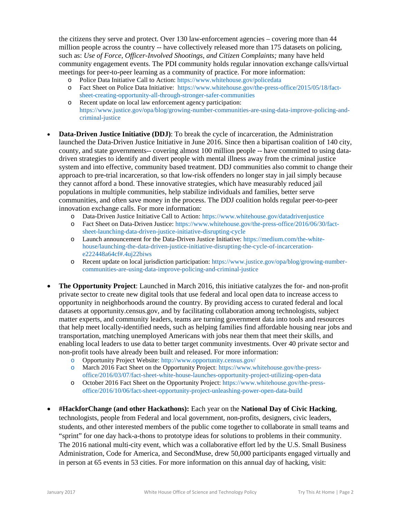the citizens they serve and protect. Over 130 law-enforcement agencies – covering more than 44 million people across the country -- have collectively released more than 175 datasets on policing, such as: *Use of Force, Officer-Involved Shootings, and Citizen Complaints;* many have held community engagement events. The PDI community holds regular innovation exchange calls/virtual meetings for peer-to-peer learning as a community of practice. For more information:

- o Police Data Initiative Call to Action:<https://www.whitehouse.gov/policedata>
- o Fact Sheet on Police Data Initiative: [https://www.whitehouse.gov/the-press-office/2015/05/18/fact](https://www.whitehouse.gov/the-press-office/2015/05/18/fact-sheet-creating-opportunity-all-through-stronger-safer-communities)[sheet-creating-opportunity-all-through-stronger-safer-communities](https://www.whitehouse.gov/the-press-office/2015/05/18/fact-sheet-creating-opportunity-all-through-stronger-safer-communities)
- o Recent update on local law enforcement agency participation: [https://www.justice.gov/opa/blog/growing-number-communities-are-using-data-improve-policing-and](https://www.justice.gov/opa/blog/growing-number-communities-are-using-data-improve-policing-and-criminal-justice)[criminal-justice](https://www.justice.gov/opa/blog/growing-number-communities-are-using-data-improve-policing-and-criminal-justice)
- **Data-Driven Justice Initiative (DDJ)**: To break the cycle of incarceration, the Administration launched the Data-Driven Justice Initiative in June 2016. Since then a bipartisan coalition of 140 city, county, and state governments-- covering almost 100 million people -- have committed to using datadriven strategies to identify and divert people with mental illness away from the criminal justice system and into effective, community based treatment. DDJ communities also commit to change their approach to pre-trial incarceration, so that low-risk offenders no longer stay in jail simply because they cannot afford a bond. These innovative strategies, which have measurably reduced jail populations in multiple communities, help stabilize individuals and families, better serve communities, and often save money in the process. The DDJ coalition holds regular peer-to-peer innovation exchange calls. For more information:
	- o Data-Driven Justice Initiative Call to Action[: https://www.whitehouse.gov/datadrivenjustice](https://www.whitehouse.gov/datadrivenjustice)
	- o Fact Sheet on Data-Driven Justice: [https://www.whitehouse.gov/the-press-office/2016/06/30/fact](https://www.whitehouse.gov/the-press-office/2016/06/30/fact-sheet-launching-data-driven-justice-initiative-disrupting-cycle)[sheet-launching-data-driven-justice-initiative-disrupting-cycle](https://www.whitehouse.gov/the-press-office/2016/06/30/fact-sheet-launching-data-driven-justice-initiative-disrupting-cycle)
	- o Launch announcement for the Data-Driven Justice Initiative[: https://medium.com/the-white](https://medium.com/the-white-house/launching-the-data-driven-justice-initiative-disrupting-the-cycle-of-incarceration-e222448a64cf#.4uj22biws)[house/launching-the-data-driven-justice-initiative-disrupting-the-cycle-of-incarceration](https://medium.com/the-white-house/launching-the-data-driven-justice-initiative-disrupting-the-cycle-of-incarceration-e222448a64cf#.4uj22biws)[e222448a64cf#.4uj22biws](https://medium.com/the-white-house/launching-the-data-driven-justice-initiative-disrupting-the-cycle-of-incarceration-e222448a64cf#.4uj22biws)
	- o Recent update on local jurisdiction participation[: https://www.justice.gov/opa/blog/growing-number](https://www.justice.gov/opa/blog/growing-number-communities-are-using-data-improve-policing-and-criminal-justice)[communities-are-using-data-improve-policing-and-criminal-justice](https://www.justice.gov/opa/blog/growing-number-communities-are-using-data-improve-policing-and-criminal-justice)
- **The Opportunity Project**: Launched in March 2016, this initiative catalyzes the for- and non-profit private sector to create new digital tools that use federal and local open data to increase access to opportunity in neighborhoods around the country. By providing access to curated federal and local datasets at opportunity.census.gov, and by facilitating collaboration among technologists, subject matter experts, and community leaders, teams are turning government data into tools and resources that help meet locally-identified needs, such as helping families find affordable housing near jobs and transportation, matching unemployed Americans with jobs near them that meet their skills, and enabling local leaders to use data to better target community investments. Over 40 private sector and non-profit tools have already been built and released. For more information:
	- o Opportunity Project Website:<http://www.opportunity.census.gov/>
	- o March 2016 Fact Sheet on the Opportunity Project[: https://www.whitehouse.gov/the-press](https://www.whitehouse.gov/the-press-office/2016/03/07/fact-sheet-white-house-launches-opportunity-project-utilizing-open-data)[office/2016/03/07/fact-sheet-white-house-launches-opportunity-project-utilizing-open-data](https://www.whitehouse.gov/the-press-office/2016/03/07/fact-sheet-white-house-launches-opportunity-project-utilizing-open-data)
	- o October 2016 Fact Sheet on the Opportunity Project: [https://www.whitehouse.gov/the-press](https://www.whitehouse.gov/the-press-office/2016/10/06/fact-sheet-opportunity-project-unleashing-power-open-data-build)[office/2016/10/06/fact-sheet-opportunity-project-unleashing-power-open-data-build](https://www.whitehouse.gov/the-press-office/2016/10/06/fact-sheet-opportunity-project-unleashing-power-open-data-build)
- **#HackforChange (and other Hackathons):** Each year on the **National Day of Civic Hacking**, technologists, people from Federal and local government, non-profits, designers, civic leaders, students, and other interested members of the public come together to collaborate in small teams and "sprint" for one day hack-a-thons to prototype ideas for solutions to problems in their community. The 2016 national multi-city event, which was a collaborative effort led by the U.S. Small Business Administration, Code for America, and SecondMuse, drew 50,000 participants engaged virtually and in person at 65 events in 53 cities. For more information on this annual day of hacking, visit: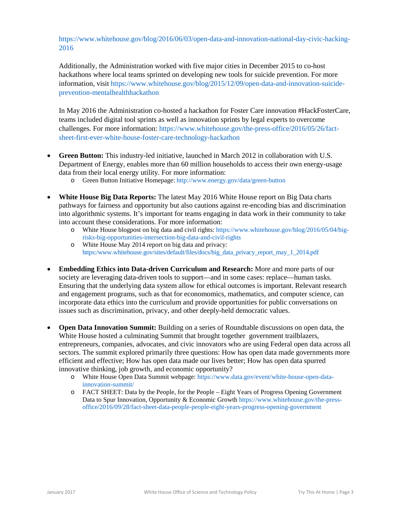https://www.whitehouse.gov/blog/2016/06/03/open-data-and-innovation-national-day-civic-hacking-2016

Additionally, the Administration worked with five major cities in December 2015 to co-host hackathons where local teams sprinted on developing new tools for suicide prevention. For more information, visit [https://www.whitehouse.gov/blog/2015/12/09/open-data-and-innovation-suicide](https://www.whitehouse.gov/blog/2015/12/09/open-data-and-innovation-suicide-prevention-mentalhealthhackathon)[prevention-mentalhealthhackathon](https://www.whitehouse.gov/blog/2015/12/09/open-data-and-innovation-suicide-prevention-mentalhealthhackathon)

In May 2016 the Administration co-hosted a hackathon for Foster Care innovation #HackFosterCare, teams included digital tool sprints as well as innovation sprints by legal experts to overcome challenges. For more information: [https://www.whitehouse.gov/the-press-office/2016/05/26/fact](https://www.whitehouse.gov/the-press-office/2016/05/26/fact-sheet-first-ever-white-house-foster-care-technology-hackathon)[sheet-first-ever-white-house-foster-care-technology-hackathon](https://www.whitehouse.gov/the-press-office/2016/05/26/fact-sheet-first-ever-white-house-foster-care-technology-hackathon)

- **Green Button:** This industry-led initiative, launched in March 2012 in collaboration with U.S. Department of Energy, enables more than 60 million households to access their own energy-usage data from their local energy utility. For more information:
	- o Green Button Initiative Homepage:<http://www.energy.gov/data/green-button>
- **White House Big Data Reports:** The latest May 2016 White House report on Big Data charts pathways for fairness and opportunity but also cautions against re-encoding bias and discrimination into algorithmic systems. It's important for teams engaging in data work in their community to take into account these considerations. For more information:
	- o White House blogpost on big data and civil rights: [https://www.whitehouse.gov/blog/2016/05/04/big](https://www.whitehouse.gov/blog/2016/05/04/big-risks-big-opportunities-intersection-big-data-and-civil-rights)[risks-big-opportunities-intersection-big-data-and-civil-rights](https://www.whitehouse.gov/blog/2016/05/04/big-risks-big-opportunities-intersection-big-data-and-civil-rights)
	- o White House May 2014 report on big data and privacy: [https:/www.whitehouse.gov/sites/default/files/docs/big\\_data\\_privacy\\_report\\_may\\_1\\_2014.pdf](https://www.whitehouse.gov/sites/default/files/docs/big_data_privacy_report_may_1_2014.pdf)
- **Embedding Ethics into Data-driven Curriculum and Research:** More and more parts of our society are leveraging data-driven tools to support—and in some cases: replace—human tasks. Ensuring that the underlying data system allow for ethical outcomes is important. Relevant research and engagement programs, such as that for economomics, mathematics, and computer science, can incorporate data ethics into the curriculum and provide opportunities for public conversations on issues such as discrimination, privacy, and other deeply-held democratic values.
- **Open Data Innovation Summit:** Building on a series of Roundtable discussions on open data, the White House hosted a culminating Summit that brought together government trailblazers, entrepreneurs, companies, advocates, and civic innovators who are using Federal open data across all sectors. The summit explored primarily three questions: How has open data made governments more efficient and effective; How has open data made our lives better; How has open data spurred innovative thinking, job growth, and economic opportunity?
	- o White House Open Data Summit webpage: [https://www.data.gov/event/white-house-open-data](https://www.data.gov/event/white-house-open-data-innovation-summit/)[innovation-summit/](https://www.data.gov/event/white-house-open-data-innovation-summit/)
	- o FACT SHEET: Data by the People, for the People Eight Years of Progress Opening Government Data to Spur Innovation, Opportunity & Economic Growth [https://www.whitehouse.gov/the-press](https://www.whitehouse.gov/the-press-office/2016/09/28/fact-sheet-data-people-people-eight-years-progress-opening-government)[office/2016/09/28/fact-sheet-data-people-people-eight-years-progress-opening-government](https://www.whitehouse.gov/the-press-office/2016/09/28/fact-sheet-data-people-people-eight-years-progress-opening-government)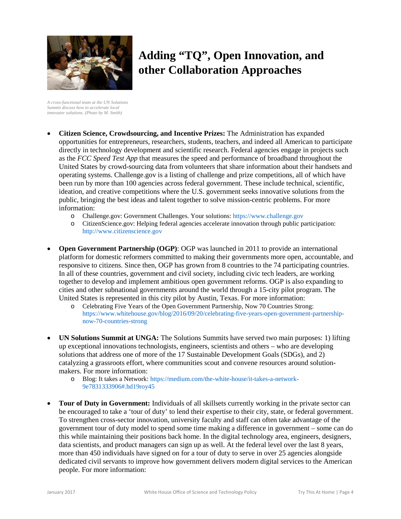

# **Adding "TQ", Open Innovation, and other Collaboration Approaches**

*A cross-functional team at the UN Solutions Summit discuss how to accelerate local innovator solutions. (Photo by M. Smith)*

- **Citizen Science, Crowdsourcing, and Incentive Prizes:** The Administration has expanded opportunities for entrepreneurs, researchers, students, teachers, and indeed all American to participate directly in technology development and scientific research. Federal agencies engage in projects such as the *FCC Speed Test App* that measures the speed and performance of broadband throughout the United States by crowd-sourcing data from volunteers that share information about their handsets and operating systems. Challenge.gov is a listing of challenge and prize competitions, all of which have been run by more than 100 agencies across federal government. These include technical, scientific, ideation, and creative competitions where the U.S. government seeks innovative solutions from the public, bringing the best ideas and talent together to solve mission-centric problems. For more information:
	- o Challenge.gov: Government Challenges. Your solutions[: https://www.challenge.gov](https://www.challenge.gov/)
	- o CitizenScience.gov: Helping federal agencies accelerate innovation through public participation: [http://www.citizenscience.gov](http://www.citizenscience.gov/)
- **Open Government Partnership (OGP)**: OGP was launched in 2011 to provide an international platform for domestic reformers committed to making their governments more open, accountable, and responsive to citizens. Since then, OGP has grown from 8 countries to the 74 participating countries. In all of these countries, government and civil society, including civic tech leaders, are working together to develop and implement ambitious open government reforms. OGP is also expanding to cities and other subnational governments around the world through a 15-city pilot program. The United States is represented in this city pilot by Austin, Texas. For more information:
	- o Celebrating Five Years of the Open Government Partnership, Now 70 Countries Strong: [https://www.whitehouse.gov/blog/2016/09/20/celebrating-five-years-open-government-partnership](https://www.whitehouse.gov/blog/2016/09/20/celebrating-five-years-open-government-partnership-now-70-countries-strong)[now-70-countries-strong](https://www.whitehouse.gov/blog/2016/09/20/celebrating-five-years-open-government-partnership-now-70-countries-strong)
- **UN Solutions Summit at UNGA:** The Solutions Summits have served two main purposes: 1) lifting up exceptional innovations technologists, engineers, scientists and others – who are developing solutions that address one of more of the 17 Sustainable Development Goals (SDGs), and 2) catalyzing a grassroots effort, where communities scout and convene resources around solutionmakers. For more information:
	- o Blog: It takes a Network: [https://medium.com/the-white-house/it-takes-a-network-](https://medium.com/the-white-house/it-takes-a-network-9e7831333906#.hd19roy45)[9e7831333906#.hd19roy45](https://medium.com/the-white-house/it-takes-a-network-9e7831333906#.hd19roy45)
- **Tour of Duty in Government:** Individuals of all skillsets currently working in the private sector can be encouraged to take a 'tour of duty' to lend their expertise to their city, state, or federal government. To strengthen cross-sector innovation, university faculty and staff can often take advantage of the government tour of duty model to spend some time making a difference in government – some can do this while maintaining their positions back home. In the digital technology area, engineers, designers, data scientists, and product managers can sign up as well. At the federal level over the last 8 years, more than 450 individuals have signed on for a tour of duty to serve in over 25 agencies alongside dedicated civil servants to improve how government delivers modern digital services to the American people. For more information: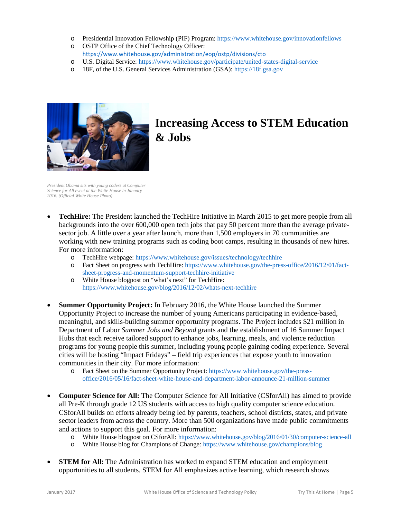- o Presidential Innovation Fellowship (PIF) Program: <https://www.whitehouse.gov/innovationfellows>
- o OSTP Office of the Chief Technology Officer: <https://www.whitehouse.gov/administration/eop/ostp/divisions/cto>
- o U.S. Digital Service: <https://www.whitehouse.gov/participate/united-states-digital-service>
- o 18F, of the U.S. General Services Administration (GSA): [https://18f.gsa.gov](https://18f.gsa.gov/)



### **Increasing Access to STEM Education & Jobs**

*President Obama sits with young coders at Computer Science for All event at the White House in January 2016. (Official White House Photo)*

- **TechHire:** The President launched the TechHire Initiative in March 2015 to get more people from all backgrounds into the over 600,000 open tech jobs that pay 50 percent more than the average privatesector job. A little over a year after launch, more than 1,500 employers in 70 communities are working with new training programs such as coding boot camps, resulting in thousands of new hires. For more information:
	- o TechHire webpage:<https://www.whitehouse.gov/issues/technology/techhire>
	- o Fact Sheet on progress with TechHire[: https://www.whitehouse.gov/the-press-office/2016/12/01/fact](https://www.whitehouse.gov/the-press-office/2016/12/01/fact-sheet-progress-and-momentum-support-techhire-initiative)[sheet-progress-and-momentum-support-techhire-initiative](https://www.whitehouse.gov/the-press-office/2016/12/01/fact-sheet-progress-and-momentum-support-techhire-initiative)
	- o White House blogpost on "what's next" for TechHire: <https://www.whitehouse.gov/blog/2016/12/02/whats-next-techhire>
- **Summer Opportunity Project:** In February 2016, the White House launched the Summer Opportunity Project to increase the number of young Americans participating in evidence-based, meaningful, and skills-building summer opportunity programs. The Project includes \$21 million in Department of Labor *Summer Jobs and Beyond* grants and the establishment of 16 Summer Impact Hubs that each receive tailored support to enhance jobs, learning, meals, and violence reduction programs for young people this summer, including young people gaining coding experience. Several cities will be hosting "Impact Fridays" – field trip experiences that expose youth to innovation communities in their city. For more information:
	- o Fact Sheet on the Summer Opportunity Project: [https://www.whitehouse.gov/the-press](https://www.whitehouse.gov/the-press-office/2016/05/16/fact-sheet-white-house-and-department-labor-announce-21-million-summer)[office/2016/05/16/fact-sheet-white-house-and-department-labor-announce-21-million-summer](https://www.whitehouse.gov/the-press-office/2016/05/16/fact-sheet-white-house-and-department-labor-announce-21-million-summer)
- **Computer Science for All:** The Computer Science for All Initiative (CSforAll) has aimed to provide all Pre-K through grade 12 US students with access to high quality computer science education. CSforAll builds on efforts already being led by parents, teachers, school districts, states, and private sector leaders from across the country. More than 500 organizations have made public commitments and actions to support this goal. For more information:
	- o White House blogpost on CSforAll:<https://www.whitehouse.gov/blog/2016/01/30/computer-science-all><br>
	white House blog for Champions of Change: https://www.whitehouse.gov/champions/blog
	- White House blog for Champions of Change:<https://www.whitehouse.gov/champions/blog>
- **STEM for All:** The Administration has worked to expand STEM education and employment opportunities to all students. STEM for All emphasizes active learning, which research shows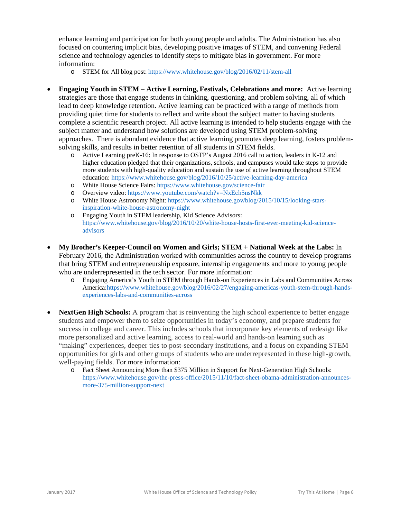enhance learning and participation for both young people and adults. The Administration has also focused on countering implicit bias, developing positive images of STEM, and convening Federal science and technology agencies to identify steps to mitigate bias in government. For more information:

- o STEM for All blog post: <https://www.whitehouse.gov/blog/2016/02/11/stem-all>
- **Engaging Youth in STEM – Active Learning, Festivals, Celebrations and more:** Active learning strategies are those that engage students in thinking, questioning, and problem solving, all of which lead to deep knowledge retention. Active learning can be practiced with a range of methods from providing quiet time for students to reflect and write about the subject matter to having students complete a scientific research project. All active learning is intended to help students engage with the subject matter and understand how solutions are developed using STEM problem-solving approaches. There is abundant evidence that active learning promotes deep learning, fosters problemsolving skills, and results in better retention of all students in STEM fields.
	- o Active Learning preK-16: In response to OSTP's August 2016 call to action, leaders in K-12 and higher education pledged that their organizations, schools, and campuses would take steps to provide more students with high-quality education and sustain the use of active learning throughout STEM education: <https://www.whitehouse.gov/blog/2016/10/25/active-learning-day-america>
	- o White House Science Fairs:<https://www.whitehouse.gov/science-fair>
	- o Overview video:<https://www.youtube.com/watch?v=NxEch5nsNkk>
	- o White House Astronomy Night[: https://www.whitehouse.gov/blog/2015/10/15/looking-stars](https://www.whitehouse.gov/blog/2015/10/15/looking-stars-inspiration-white-house-astronomy-night)[inspiration-white-house-astronomy-night](https://www.whitehouse.gov/blog/2015/10/15/looking-stars-inspiration-white-house-astronomy-night)
	- o Engaging Youth in STEM leadership, Kid Science Advisors: [https://www.whitehouse.gov/blog/2016/10/20/white-house-hosts-first-ever-meeting-kid-science](https://www.whitehouse.gov/blog/2016/10/20/white-house-hosts-first-ever-meeting-kid-science-advisors)[advisors](https://www.whitehouse.gov/blog/2016/10/20/white-house-hosts-first-ever-meeting-kid-science-advisors)
- **My Brother's Keeper-Council on Women and Girls; STEM + National Week at the Labs:** In February 2016, the Administration worked with communities across the country to develop programs that bring STEM and entrepreneurship exposure, internship engagements and more to young people who are underrepresented in the tech sector. For more information:
	- o Engaging America's Youth in STEM through Hands-on Experiences in Labs and Communities Across America[:https://www.whitehouse.gov/blog/2016/02/27/engaging-americas-youth-stem-through-hands](https://www.whitehouse.gov/blog/2016/02/27/engaging-americas-youth-stem-through-hands-experiences-labs-and-communities-across)[experiences-labs-and-communities-across](https://www.whitehouse.gov/blog/2016/02/27/engaging-americas-youth-stem-through-hands-experiences-labs-and-communities-across)
- **NextGen High Schools:** A program that is reinventing the high school experience to better engage students and empower them to seize opportunities in today's economy, and prepare students for success in college and career. This includes schools that incorporate key elements of redesign like more personalized and active learning, access to real-world and hands-on learning such as "making" experiences, deeper ties to post-secondary institutions, and a focus on expanding STEM opportunities for girls and other groups of students who are underrepresented in these high-growth, well-paying fields. For more information:
	- o Fact Sheet Announcing More than \$375 Million in Support for Next-Generation High Schools: [https://www.whitehouse.gov/the-press-office/2015/11/10/fact-sheet-obama-administration-announces](https://www.whitehouse.gov/the-press-office/2015/11/10/fact-sheet-obama-administration-announces-more-375-million-support-next)[more-375-million-support-next](https://www.whitehouse.gov/the-press-office/2015/11/10/fact-sheet-obama-administration-announces-more-375-million-support-next)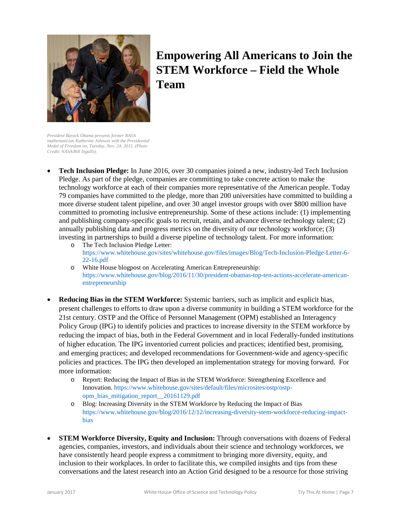

## **Empowering All Americans to Join the STEM Workforce – Field the Whole Team**

*President Barack Obama presents former NASA mathematician Katherine Johnson with the Presidential Medal of Freedom on, Tuesday, Nov. 24, 2015. (Photo Credit: NASA/Bill Ingalls).*

- **Tech Inclusion Pledge:** In June 2016, over 30 companies joined a new, industry-led Tech Inclusion Pledge. As part of the pledge, companies are committing to take concrete action to make the technology workforce at each of their companies more representative of the American people. Today 79 companies have committed to the pledge, more than 200 universities have committed to building a more diverse student talent pipeline, and over 30 angel investor groups with over \$800 million have committed to promoting inclusive entrepreneurship. Some of these actions include: (1) implementing and publishing company-specific goals to recruit, retain, and advance diverse technology talent; (2) annually publishing data and progress metrics on the diversity of our technology workforce; (3) investing in partnerships to build a diverse pipeline of technology talent. For more information:
	- o The Tech Inclusion Pledge Letter: [https://www.whitehouse.gov/sites/whitehouse.gov/files/images/Blog/Tech-Inclusion-Pledge-Letter-6-](https://www.whitehouse.gov/sites/whitehouse.gov/files/images/Blog/Tech-Inclusion-Pledge-Letter-6-22-16.pdf) [22-16.pdf](https://www.whitehouse.gov/sites/whitehouse.gov/files/images/Blog/Tech-Inclusion-Pledge-Letter-6-22-16.pdf)
	- o White House blogpost on Accelerating American Entrepreneurship: [https://www.whitehouse.gov/blog/2016/11/30/president-obamas-top-ten-actions-accelerate-american](https://www.whitehouse.gov/blog/2016/11/30/president-obamas-top-ten-actions-accelerate-american-entrepreneurship)[entrepreneurship](https://www.whitehouse.gov/blog/2016/11/30/president-obamas-top-ten-actions-accelerate-american-entrepreneurship)
- **Reducing Bias in the STEM Workforce:** Systemic barriers, such as implicit and explicit bias, present challenges to efforts to draw upon a diverse community in building a STEM workforce for the 21st century. OSTP and the Office of Personnel Management (OPM) established an Interagency Policy Group (IPG) to identify policies and practices to increase diversity in the STEM workforce by reducing the impact of bias, both in the Federal Government and in local Federally-funded institutions of higher education. The IPG inventoried current policies and practices; identified best, promising, and emerging practices; and developed recommendations for Government-wide and agency-specific policies and practices. The IPG then developed an implementation strategy for moving forward. For more information:
	- o Report: Reducing the Impact of Bias in the STEM Workforce: Strengthening Excellence and Innovation. [https://www.whitehouse.gov/sites/default/files/microsites/ostp/ostp](https://www.whitehouse.gov/sites/default/files/microsites/ostp/ostp-opm_bias_mitigation_report__20161129.pdf)[opm\\_bias\\_mitigation\\_report\\_\\_20161129.pdf](https://www.whitehouse.gov/sites/default/files/microsites/ostp/ostp-opm_bias_mitigation_report__20161129.pdf)
	- o Blog: Increasing Diversity in the STEM Workforce by Reducing the Impact of Bias [https://www.whitehouse.gov/blog/2016/12/12/increasing-diversity-stem-workforce-reducing-impact](https://www.whitehouse.gov/blog/2016/12/12/increasing-diversity-stem-workforce-reducing-impact-bias)[bias](https://www.whitehouse.gov/blog/2016/12/12/increasing-diversity-stem-workforce-reducing-impact-bias)
- **STEM Workforce Diversity, Equity and Inclusion:** Through conversations with dozens of Federal agencies, companies, investors, and individuals about their science and technology workforces, we have consistently heard people express a commitment to bringing more diversity, equity, and inclusion to their workplaces. In order to facilitate this, we compiled insights and tips from these conversations and the latest research into an Action Grid designed to be a resource for those striving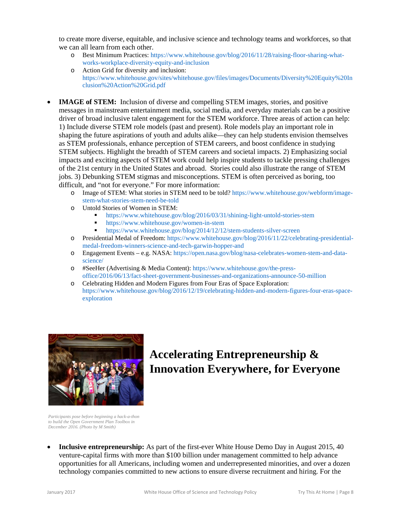to create more diverse, equitable, and inclusive science and technology teams and workforces, so that we can all learn from each other.

- o Best Minimum Practices: [https://www.whitehouse.gov/blog/2016/11/28/raising-floor-sharing-what](https://www.whitehouse.gov/blog/2016/11/28/raising-floor-sharing-what-works-workplace-diversity-equity-and-inclusion)[works-workplace-diversity-equity-and-inclusion](https://www.whitehouse.gov/blog/2016/11/28/raising-floor-sharing-what-works-workplace-diversity-equity-and-inclusion)
- o Action Grid for diversity and inclusion: [https://www.whitehouse.gov/sites/whitehouse.gov/files/images/Documents/Diversity%20Equity%20In](https://www.whitehouse.gov/sites/whitehouse.gov/files/images/Documents/Diversity%20Equity%20Inclusion%20Action%20Grid.pdf) [clusion%20Action%20Grid.pdf](https://www.whitehouse.gov/sites/whitehouse.gov/files/images/Documents/Diversity%20Equity%20Inclusion%20Action%20Grid.pdf)
- **IMAGE of STEM:** Inclusion of diverse and compelling STEM images, stories, and positive messages in mainstream entertainment media, social media, and everyday materials can be a positive driver of broad inclusive talent engagement for the STEM workforce. Three areas of action can help: 1) Include diverse STEM role models (past and present). Role models play an important role in shaping the future aspirations of youth and adults alike—they can help students envision themselves as STEM professionals, enhance perception of STEM careers, and boost confidence in studying STEM subjects. Highlight the breadth of STEM careers and societal impacts. 2) Emphasizing social impacts and exciting aspects of STEM work could help inspire students to tackle pressing challenges of the 21st century in the United States and abroad. Stories could also illustrate the range of STEM jobs. 3) Debunking STEM stigmas and misconceptions. STEM is often perceived as boring, too difficult, and "not for everyone." For more information:
	- o Image of STEM: What stories in STEM need to be told[? https://www.whitehouse.gov/webform/image](https://www.whitehouse.gov/webform/image-stem-what-stories-stem-need-be-told)[stem-what-stories-stem-need-be-told](https://www.whitehouse.gov/webform/image-stem-what-stories-stem-need-be-told)
	- o Untold Stories of Women in STEM:
		- <https://www.whitehouse.gov/blog/2016/03/31/shining-light-untold-stories-stem>
		- **<https://www.whitehouse.gov/women-in-stem>**<br>https://www.whitehouse.gov/blog/2014/12/12
		- <https://www.whitehouse.gov/blog/2014/12/12/stem-students-silver-screen>
	- o Presidential Medal of Freedom: [https://www.whitehouse.gov/blog/2016/11/22/celebrating-presidential](https://www.whitehouse.gov/blog/2016/11/22/celebrating-presidential-medal-freedom-winners-science-and-tech-garwin-hopper-and)[medal-freedom-winners-science-and-tech-garwin-hopper-and](https://www.whitehouse.gov/blog/2016/11/22/celebrating-presidential-medal-freedom-winners-science-and-tech-garwin-hopper-and)
	- o Engagement Events e.g. NASA: [https://open.nasa.gov/blog/nasa-celebrates-women-stem-and-data](https://open.nasa.gov/blog/nasa-celebrates-women-stem-and-data-science/)[science/](https://open.nasa.gov/blog/nasa-celebrates-women-stem-and-data-science/)
	- o #SeeHer (Advertising & Media Content): [https://www.whitehouse.gov/the-press](https://www.whitehouse.gov/the-press-office/2016/06/13/fact-sheet-government-businesses-and-organizations-announce-50-million)[office/2016/06/13/fact-sheet-government-businesses-and-organizations-announce-50-million](https://www.whitehouse.gov/the-press-office/2016/06/13/fact-sheet-government-businesses-and-organizations-announce-50-million)
	- o Celebrating Hidden and Modern Figures from Four Eras of Space Exploration: [https://www.whitehouse.gov/blog/2016/12/19/celebrating-hidden-and-modern-figures-four-eras-space](https://www.whitehouse.gov/blog/2016/12/19/celebrating-hidden-and-modern-figures-four-eras-space-exploration)[exploration](https://www.whitehouse.gov/blog/2016/12/19/celebrating-hidden-and-modern-figures-four-eras-space-exploration)



# **Accelerating Entrepreneurship & Innovation Everywhere, for Everyone**

*Participants pose before beginning a hack-a-thon to build the Open Government Plan Toolbox in December 2016. (Photo by M Smith)*

• **Inclusive entrepreneurship:** As part of the first-ever White House Demo Day in August 2015, 40 venture-capital firms with more than \$100 billion under management committed to help advance opportunities for all Americans, including women and underrepresented minorities, and over a dozen technology companies committed to new actions to ensure diverse recruitment and hiring. For the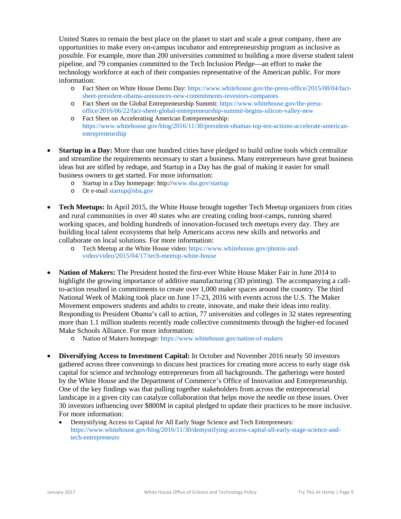United States to remain the best place on the planet to start and scale a great company, there are opportunities to make every on-campus incubator and entrepreneurship program as inclusive as possible. For example, more than 200 universities committed to building a more diverse student talent pipeline, and 79 companies committed to the Tech Inclusion Pledge—an effort to make the technology workforce at each of their companies representative of the American public. For more information:

- o Fact Sheet on White House Demo Day: [https://www.whitehouse.gov/the-press-office/2015/08/04/fact](https://www.whitehouse.gov/the-press-office/2015/08/04/fact-sheet-president-obama-announces-new-commitments-investors-companies)[sheet-president-obama-announces-new-commitments-investors-companies](https://www.whitehouse.gov/the-press-office/2015/08/04/fact-sheet-president-obama-announces-new-commitments-investors-companies)
- o Fact Sheet on the Global Entrepreneurship Summit: [https://www.whitehouse.gov/the-press](https://www.whitehouse.gov/the-press-office/2016/06/22/fact-sheet-global-entrepreneurship-summit-begins-silicon-valley-new)[office/2016/06/22/fact-sheet-global-entrepreneurship-summit-begins-silicon-valley-new](https://www.whitehouse.gov/the-press-office/2016/06/22/fact-sheet-global-entrepreneurship-summit-begins-silicon-valley-new)
- o Fact Sheet on Accelerating American Entrepreneurship: [https://www.whitehouse.gov/blog/2016/11/30/president-obamas-top-ten-actions-accelerate-american](https://www.whitehouse.gov/blog/2016/11/30/president-obamas-top-ten-actions-accelerate-american-entrepreneurship)[entrepreneurship](https://www.whitehouse.gov/blog/2016/11/30/president-obamas-top-ten-actions-accelerate-american-entrepreneurship)
- **Startup in a Day:** More than one hundred cities have pledged to build online tools which centralize and streamline the requirements necessary to start a business. Many entrepreneurs have great business ideas but are stifled by redtape, and Startup in a Day has the goal of making it easier for small business owners to get started. For more information:
	- o Startup in a Day homepage: http:/[/www.sba.gov/startup](http://www.sba.gov/startup)
	- o Or e-mail [startup@sba.gov](mailto:startup@sba.gov)
- **Tech Meetups:** In April 2015, the White House brought together Tech Meetup organizers from cities and rural communities in over 40 states who are creating coding boot-camps, running shared working spaces, and holding hundreds of innovation-focused tech meetups every day. They are building local talent ecosystems that help Americans access new skills and networks and collaborate on local solutions. For more information:
	- o Tech Meetup at the White House video: [https://www.whitehouse.gov/photos-and](https://www.whitehouse.gov/photos-and-video/video/2015/04/17/tech-meetup-white-house)[video/video/2015/04/17/tech-meetup-white-house](https://www.whitehouse.gov/photos-and-video/video/2015/04/17/tech-meetup-white-house)
- **Nation of Makers:** The President hosted the first-ever White House Maker Fair in June 2014 to highlight the growing importance of additive manufacturing (3D printing). The accompanying a callto-action resulted in commitments to create over 1,000 maker spaces around the country. The third National Week of Making took place on June 17-23, 2016 with events across the U.S. The Maker Movement empowers students and adults to create, innovate, and make their ideas into reality. Responding to President Obama's call to action, 77 universities and colleges in 32 states representing more than 1.1 million students recently made collective commitments through the higher-ed focused Make Schools Alliance. For more information:
	- o Nation of Makers homepage:<https://www.whitehouse.gov/nation-of-makers>
- **Diversifying Access to Investment Capital:** In October and November 2016 nearly 50 investors gathered across three convenings to discuss best practices for creating more access to early stage risk capital for science and technology entrepreneurs from all backgrounds. The gatherings were hosted by the White House and the Department of Commerce's Office of Innovation and Entrepreneurship. One of the key findings was that pulling together stakeholders from across the entrepreneurial landscape in a given city can catalyze collaboration that helps move the needle on these issues. Over 30 investors influencing over \$800M in capital pledged to update their practices to be more inclusive. For more information:
	- Demystifying Access to Capital for All Early Stage Science and Tech Entrepreneurs: [https://www.whitehouse.gov/blog/2016/11/30/demystifying-access-capital-all-early-stage-science-and](https://www.whitehouse.gov/blog/2016/11/30/demystifying-access-capital-all-early-stage-science-and-tech-entrepreneurs)[tech-entrepreneurs](https://www.whitehouse.gov/blog/2016/11/30/demystifying-access-capital-all-early-stage-science-and-tech-entrepreneurs)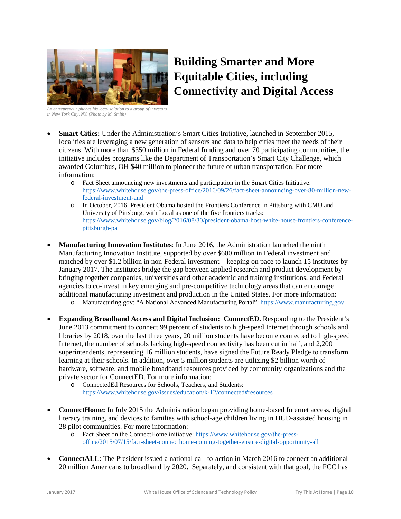

# **Building Smarter and More Equitable Cities, including Connectivity and Digital Access**

*An entrepreneur pitches his local solution to a group of investors in New York City, NY. (Photo by M. Smith)*

- **Smart Cities:** Under the Administration's Smart Cities Initiative, launched in September 2015, localities are leveraging a new generation of sensors and data to help cities meet the needs of their citizens. With more than \$350 million in Federal funding and over 70 participating communities, the initiative includes programs like the Department of Transportation's Smart City Challenge, which awarded Columbus, OH \$40 million to pioneer the future of urban transportation. For more information:
	- o Fact Sheet announcing new investments and participation in the Smart Cities Initiative: [https://www.whitehouse.gov/the-press-office/2016/09/26/fact-sheet-announcing-over-80-million-new](https://www.whitehouse.gov/the-press-office/2016/09/26/fact-sheet-announcing-over-80-million-new-federal-investment-and)[federal-investment-and](https://www.whitehouse.gov/the-press-office/2016/09/26/fact-sheet-announcing-over-80-million-new-federal-investment-and)
	- o In October, 2016, President Obama hosted the Frontiers Conference in Pittsburg with CMU and University of Pittsburg, with Local as one of the five frontiers tracks: [https://www.whitehouse.gov/blog/2016/08/30/president-obama-host-white-house-frontiers-conference](https://www.whitehouse.gov/blog/2016/08/30/president-obama-host-white-house-frontiers-conference-pittsburgh-pa)[pittsburgh-pa](https://www.whitehouse.gov/blog/2016/08/30/president-obama-host-white-house-frontiers-conference-pittsburgh-pa)
- **Manufacturing Innovation Institutes**: In June 2016, the Administration launched the ninth Manufacturing Innovation Institute, supported by over \$600 million in Federal investment and matched by over \$1.2 billion in non-Federal investment—keeping on pace to launch 15 institutes by January 2017. The institutes bridge the gap between applied research and product development by bringing together companies, universities and other academic and training institutions, and Federal agencies to co-invest in key emerging and pre-competitive technology areas that can encourage additional manufacturing investment and production in the United States. For more information:
	- o Manufacturing.gov: "A National Advanced Manufacturing Portal": [https://www.manufacturing.gov](https://www.manufacturing.gov/)
- **Expanding Broadband Access and Digital Inclusion: ConnectED.** Responding to the President's June 2013 commitment to connect 99 percent of students to high-speed Internet through schools and libraries by 2018, over the last three years, 20 million students have become connected to high-speed Internet, the number of schools lacking high-speed connectivity has been cut in half, and 2,200 superintendents, representing 16 million students, have signed the Future Ready Pledge to transform learning at their schools. In addition, over 5 million students are utilizing \$2 billion worth of hardware, software, and mobile broadband resources provided by community organizations and the private sector for ConnectED. For more information:
	- o ConnectedEd Resources for Schools, Teachers, and Students: <https://www.whitehouse.gov/issues/education/k-12/connected#resources>
- **ConnectHome:** In July 2015 the Administration began providing home-based Internet access, digital literacy training, and devices to families with school-age children living in HUD-assisted housing in 28 pilot communities. For more information:
	- o Fact Sheet on the ConnectHome initiative[: https://www.whitehouse.gov/the-press](https://www.whitehouse.gov/the-press-office/2015/07/15/fact-sheet-connecthome-coming-together-ensure-digital-opportunity-all)[office/2015/07/15/fact-sheet-connecthome-coming-together-ensure-digital-opportunity-all](https://www.whitehouse.gov/the-press-office/2015/07/15/fact-sheet-connecthome-coming-together-ensure-digital-opportunity-all)
- **ConnectALL**: The President issued a national call-to-action in March 2016 to connect an additional 20 million Americans to broadband by 2020. Separately, and consistent with that goal, the FCC has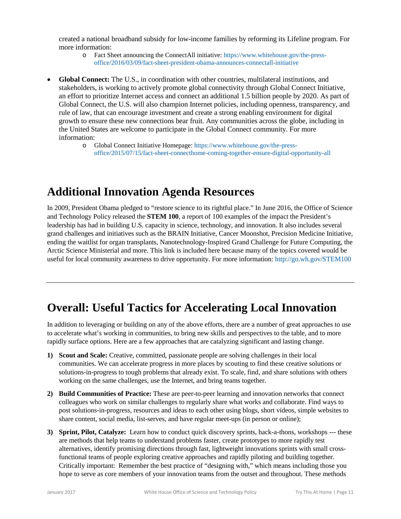created a national broadband subsidy for low-income families by reforming its Lifeline program. For more information:

- o Fact Sheet announcing the ConnectAll initiative[: https://www.whitehouse.gov/the-press](https://www.whitehouse.gov/the-press-office/2016/03/09/fact-sheet-president-obama-announces-connectall-initiative)[office/2016/03/09/fact-sheet-president-obama-announces-connectall-initiative](https://www.whitehouse.gov/the-press-office/2016/03/09/fact-sheet-president-obama-announces-connectall-initiative)
- **Global Connect:** The U.S., in coordination with other countries, multilateral institutions, and stakeholders, is working to actively promote global connectivity through Global Connect Initiative, an effort to prioritize Internet access and connect an additional 1.5 billion people by 2020. As part of Global Connect, the U.S. will also champion Internet policies, including openness, transparency, and rule of law, that can encourage investment and create a strong enabling environment for digital growth to ensure these new connections bear fruit. Any communities across the globe, including in the United States are welcome to participate in the Global Connect community. For more information:
	- o Global Connect Initiative Homepage: [https://www.whitehouse.gov/the-press](https://www.whitehouse.gov/the-press-office/2015/07/15/fact-sheet-connecthome-coming-together-ensure-digital-opportunity-all)[office/2015/07/15/fact-sheet-connecthome-coming-together-ensure-digital-opportunity-all](https://www.whitehouse.gov/the-press-office/2015/07/15/fact-sheet-connecthome-coming-together-ensure-digital-opportunity-all)

### **Additional Innovation Agenda Resources**

In 2009, President Obama pledged to "restore science to its rightful place." In June 2016, the Office of Science and Technology Policy released the **STEM 100**, a report of 100 examples of the impact the President's leadership has had in building U.S. capacity in science, technology, and innovation. It also includes several grand challenges and initiatives such as the BRAIN Initiative, Cancer Moonshot, Precision Medicine Initiative, ending the waitlist for organ transplants, Nanotechnology-Inspired Grand Challenge for Future Computing, the Arctic Science Ministerial and more. This link is included here because many of the topics covered would be useful for local community awareness to drive opportunity. For more information: <http://go.wh.gov/STEM100>

### **Overall: Useful Tactics for Accelerating Local Innovation**

In addition to leveraging or building on any of the above efforts, there are a number of great approaches to use to accelerate what's working in communities, to bring new skills and perspectives to the table, and to more rapidly surface options. Here are a few approaches that are catalyzing significant and lasting change.

- **1) Scout and Scale:** Creative, committed, passionate people are solving challenges in their local communities. We can accelerate progress in more places by scouting to find these creative solutions or solutions-in-progress to tough problems that already exist. To scale, find, and share solutions with others working on the same challenges, use the Internet, and bring teams together.
- **2) Build Communities of Practice:** These are peer-to-peer learning and innovation networks that connect colleagues who work on similar challenges to regularly share what works and collaborate. Find ways to post solutions-in-progress, resources and ideas to each other using blogs, short videos, simple websites to share content, social media, list-serves, and have regular meet-ups (in person or online);
- **3) Sprint, Pilot, Catalyze:** Learn how to conduct quick discovery sprints, hack-a-thons, workshops --- these are methods that help teams to understand problems faster, create prototypes to more rapidly test alternatives, identify promising directions through fast, lightweight innovations sprints with small crossfunctional teams of people exploring creative approaches and rapidly piloting and building together. Critically important: Remember the best practice of "designing with," which means including those you hope to serve as core members of your innovation teams from the outset and throughout. These methods